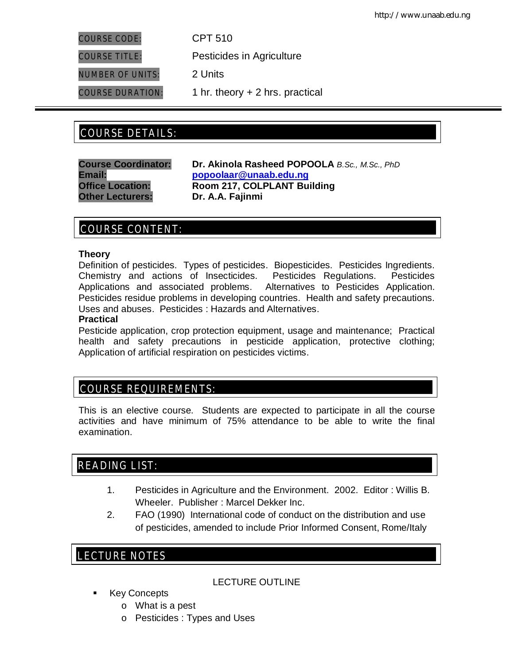COURSE CODE: CPT 510

COURSE TITLE: Pesticides in Agriculture

NUMBER OF UNITS: 2 Units

COURSE DURATION: 1 hr. theory + 2 hrs. practical

# COURSE DETAILS: COURSE DETAILS:

**Other Lecturers: Dr. A.A. Fajinmi** 

**Course Coordinator: Dr. Akinola Rasheed POPOOLA** *B.Sc., M.Sc., PhD* **Email: popoolaar@unaab.edu.ng Office Location: Room 217, COLPLANT Building**

# COURSE CONTENT:

# **Theory**

Definition of pesticides. Types of pesticides. Biopesticides. Pesticides Ingredients. Chemistry and actions of Insecticides. Pesticides Regulations. Pesticides Applications and associated problems. Alternatives to Pesticides Application. Pesticides residue problems in developing countries. Health and safety precautions. Uses and abuses. Pesticides : Hazards and Alternatives.

# **Practical**

Pesticide application, crop protection equipment, usage and maintenance; Practical health and safety precautions in pesticide application, protective clothing; Application of artificial respiration on pesticides victims.

# COURSE REQUIREMENTS:

This is an elective course. Students are expected to participate in all the course activities and have minimum of 75% attendance to be able to write the final examination.

# READING LIST:

- 1. Pesticides in Agriculture and the Environment. 2002. Editor : Willis B. Wheeler. Publisher : Marcel Dekker Inc.
- 2. FAO (1990) International code of conduct on the distribution and use of pesticides, amended to include Prior Informed Consent, Rome/Italy

E LECTURE NOTES

# LECTURE OUTLINE

- Key Concepts
	- o What is a pest
	- o Pesticides : Types and Uses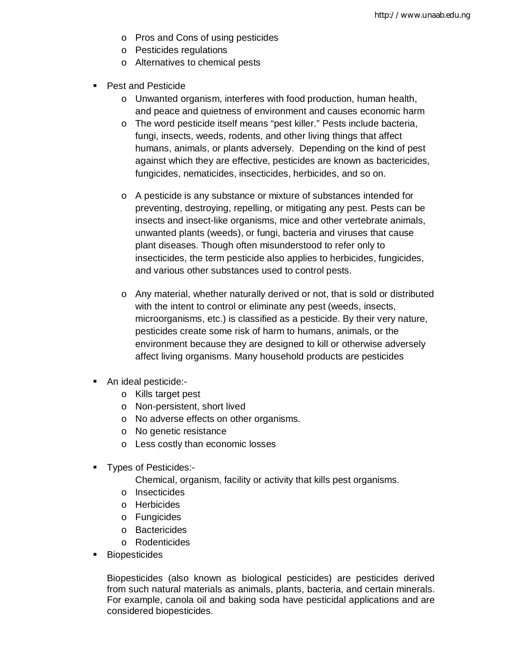- o Pros and Cons of using pesticides
- o Pesticides regulations
- o Alternatives to chemical pests
- **Pest and Pesticide** 
	- o Unwanted organism, interferes with food production, human health, and peace and quietness of environment and causes economic harm
	- o The word pesticide itself means "pest killer." Pests include bacteria, fungi, insects, weeds, rodents, and other living things that affect humans, animals, or plants adversely. Depending on the kind of pest against which they are effective, pesticides are known as bactericides, fungicides, nematicides, insecticides, herbicides, and so on.
	- o A pesticide is any substance or mixture of substances intended for preventing, destroying, repelling, or mitigating any pest. Pests can be insects and insect-like organisms, mice and other vertebrate animals, unwanted plants (weeds), or fungi, bacteria and viruses that cause plant diseases. Though often misunderstood to refer only to insecticides, the term pesticide also applies to herbicides, fungicides, and various other substances used to control pests.
	- o Any material, whether naturally derived or not, that is sold or distributed with the intent to control or eliminate any pest (weeds, insects, microorganisms, etc.) is classified as a pesticide. By their very nature, pesticides create some risk of harm to humans, animals, or the environment because they are designed to kill or otherwise adversely affect living organisms. Many household products are pesticides
- An ideal pesticide:
	- o Kills target pest
	- o Non-persistent, short lived
	- o No adverse effects on other organisms.
	- o No genetic resistance
	- o Less costly than economic losses
- **Types of Pesticides:-**

Chemical, organism, facility or activity that kills pest organisms.

- o Insecticides
- o Herbicides
- o Fungicides
- o Bactericides
- o Rodenticides
- **Biopesticides**

Biopesticides (also known as biological pesticides) are pesticides derived from such natural materials as animals, plants, bacteria, and certain minerals. For example, canola oil and baking soda have pesticidal applications and are considered biopesticides.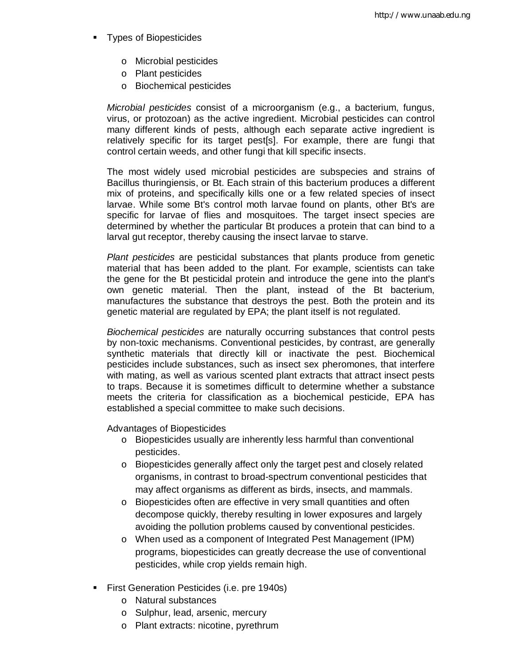- Types of Biopesticides
	- o Microbial pesticides
	- o Plant pesticides
	- o Biochemical pesticides

*Microbial pesticides* consist of a microorganism (e.g., a bacterium, fungus, virus, or protozoan) as the active ingredient. Microbial pesticides can control many different kinds of pests, although each separate active ingredient is relatively specific for its target pest[s]. For example, there are fungi that control certain weeds, and other fungi that kill specific insects.

The most widely used microbial pesticides are subspecies and strains of Bacillus thuringiensis, or Bt. Each strain of this bacterium produces a different mix of proteins, and specifically kills one or a few related species of insect larvae. While some Bt's control moth larvae found on plants, other Bt's are specific for larvae of flies and mosquitoes. The target insect species are determined by whether the particular Bt produces a protein that can bind to a larval gut receptor, thereby causing the insect larvae to starve.

*Plant pesticides* are pesticidal substances that plants produce from genetic material that has been added to the plant. For example, scientists can take the gene for the Bt pesticidal protein and introduce the gene into the plant's own genetic material. Then the plant, instead of the Bt bacterium, manufactures the substance that destroys the pest. Both the protein and its genetic material are regulated by EPA; the plant itself is not regulated.

*Biochemical pesticides* are naturally occurring substances that control pests by non-toxic mechanisms. Conventional pesticides, by contrast, are generally synthetic materials that directly kill or inactivate the pest. Biochemical pesticides include substances, such as insect sex pheromones, that interfere with mating, as well as various scented plant extracts that attract insect pests to traps. Because it is sometimes difficult to determine whether a substance meets the criteria for classification as a biochemical pesticide, EPA has established a special committee to make such decisions.

Advantages of Biopesticides

- o Biopesticides usually are inherently less harmful than conventional pesticides.
- o Biopesticides generally affect only the target pest and closely related organisms, in contrast to broad-spectrum conventional pesticides that may affect organisms as different as birds, insects, and mammals.
- o Biopesticides often are effective in very small quantities and often decompose quickly, thereby resulting in lower exposures and largely avoiding the pollution problems caused by conventional pesticides.
- o When used as a component of Integrated Pest Management (IPM) programs, biopesticides can greatly decrease the use of conventional pesticides, while crop yields remain high.
- **First Generation Pesticides (i.e. pre 1940s)** 
	- o Natural substances
	- o Sulphur, lead, arsenic, mercury
	- o Plant extracts: nicotine, pyrethrum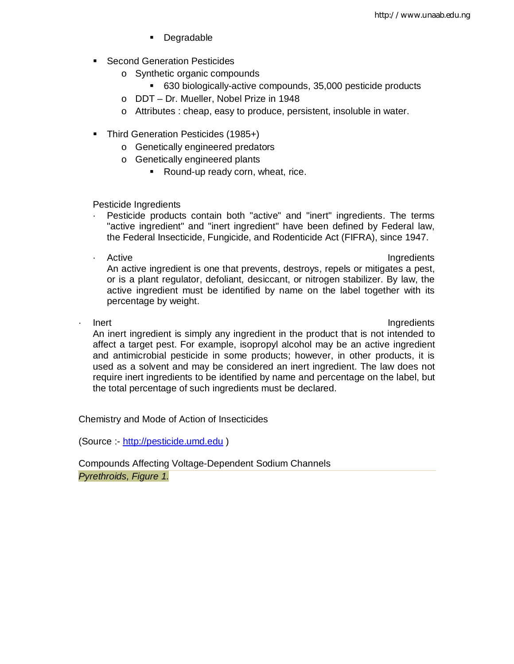- Degradable
- Second Generation Pesticides
	- o Synthetic organic compounds
		- 630 biologically-active compounds, 35,000 pesticide products
	- o DDT Dr. Mueller, Nobel Prize in 1948
	- o Attributes : cheap, easy to produce, persistent, insoluble in water.
- Third Generation Pesticides (1985+)
	- o Genetically engineered predators
	- o Genetically engineered plants
		- Round-up ready corn, wheat, rice.

Pesticide Ingredients

- Pesticide products contain both "active" and "inert" ingredients. The terms "active ingredient" and "inert ingredient" have been defined by Federal law, the Federal Insecticide, Fungicide, and Rodenticide Act (FIFRA), since 1947.
- Active Ingredients and the International Section 2012 12:00 12:00 12:00 12:00 12:00 12:00 12:00 12:00 12:00 12:00 12:00 12:00 12:00 12:00 12:00 12:00 12:00 12:00 12:00 12:00 12:00 12:00 12:00 12:00 12:00 12:00 12:00 12:00 An active ingredient is one that prevents, destroys, repels or mitigates a pest, or is a plant regulator, defoliant, desiccant, or nitrogen stabilizer. By law, the active ingredient must be identified by name on the label together with its percentage by weight.
- · Inert Ingredients An inert ingredient is simply any ingredient in the product that is not intended to affect a target pest. For example, isopropyl alcohol may be an active ingredient and antimicrobial pesticide in some products; however, in other products, it is used as a solvent and may be considered an inert ingredient. The law does not require inert ingredients to be identified by name and percentage on the label, but the total percentage of such ingredients must be declared.

Chemistry and Mode of Action of Insecticides

(Source :- http://pesticide.umd.edu )

Compounds Affecting Voltage-Dependent Sodium Channels *Pyrethroids, Figure 1.*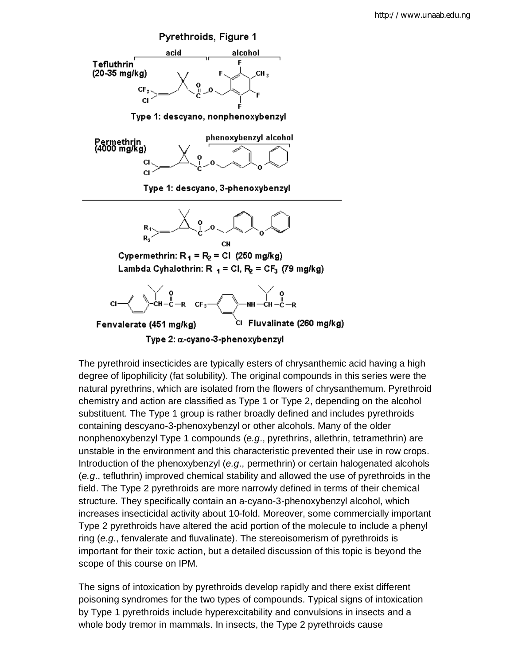

The pyrethroid insecticides are typically esters of chrysanthemic acid having a high degree of lipophilicity (fat solubility). The original compounds in this series were the natural pyrethrins, which are isolated from the flowers of chrysanthemum. Pyrethroid chemistry and action are classified as Type 1 or Type 2, depending on the alcohol substituent. The Type 1 group is rather broadly defined and includes pyrethroids containing descyano-3-phenoxybenzyl or other alcohols. Many of the older nonphenoxybenzyl Type 1 compounds (*e.g*., pyrethrins, allethrin, tetramethrin) are unstable in the environment and this characteristic prevented their use in row crops. Introduction of the phenoxybenzyl (*e.g*., permethrin) or certain halogenated alcohols (*e.g*., tefluthrin) improved chemical stability and allowed the use of pyrethroids in the field. The Type 2 pyrethroids are more narrowly defined in terms of their chemical structure. They specifically contain an a-cyano-3-phenoxybenzyl alcohol, which increases insecticidal activity about 10-fold. Moreover, some commercially important Type 2 pyrethroids have altered the acid portion of the molecule to include a phenyl ring (*e.g*., fenvalerate and fluvalinate). The stereoisomerism of pyrethroids is important for their toxic action, but a detailed discussion of this topic is beyond the scope of this course on IPM.

The signs of intoxication by pyrethroids develop rapidly and there exist different poisoning syndromes for the two types of compounds. Typical signs of intoxication by Type 1 pyrethroids include hyperexcitability and convulsions in insects and a whole body tremor in mammals. In insects, the Type 2 pyrethroids cause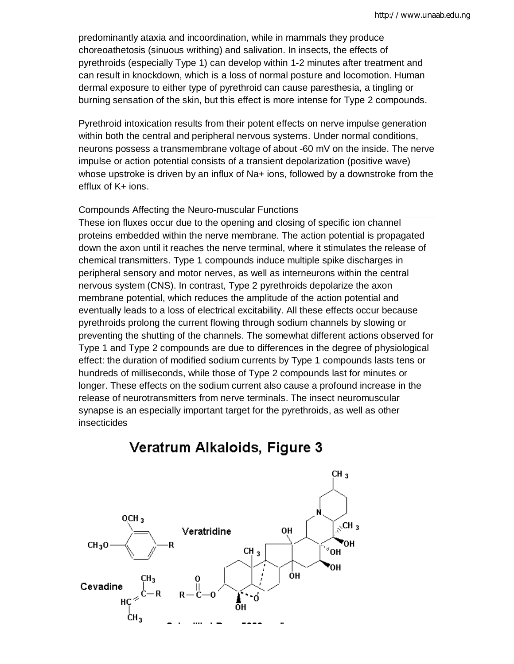predominantly ataxia and incoordination, while in mammals they produce choreoathetosis (sinuous writhing) and salivation. In insects, the effects of pyrethroids (especially Type 1) can develop within 1-2 minutes after treatment and can result in knockdown, which is a loss of normal posture and locomotion. Human dermal exposure to either type of pyrethroid can cause paresthesia, a tingling or burning sensation of the skin, but this effect is more intense for Type 2 compounds.

Pyrethroid intoxication results from their potent effects on nerve impulse generation within both the central and peripheral nervous systems. Under normal conditions, neurons possess a transmembrane voltage of about -60 mV on the inside. The nerve impulse or action potential consists of a transient depolarization (positive wave) whose upstroke is driven by an influx of Na+ ions, followed by a downstroke from the efflux of K+ ions.

# Compounds Affecting the Neuro-muscular Functions

These ion fluxes occur due to the opening and closing of specific ion channel proteins embedded within the nerve membrane. The action potential is propagated down the axon until it reaches the nerve terminal, where it stimulates the release of chemical transmitters. Type 1 compounds induce multiple spike discharges in peripheral sensory and motor nerves, as well as interneurons within the central nervous system (CNS). In contrast, Type 2 pyrethroids depolarize the axon membrane potential, which reduces the amplitude of the action potential and eventually leads to a loss of electrical excitability. All these effects occur because pyrethroids prolong the current flowing through sodium channels by slowing or preventing the shutting of the channels. The somewhat different actions observed for Type 1 and Type 2 compounds are due to differences in the degree of physiological effect: the duration of modified sodium currents by Type 1 compounds lasts tens or hundreds of milliseconds, while those of Type 2 compounds last for minutes or longer. These effects on the sodium current also cause a profound increase in the release of neurotransmitters from nerve terminals. The insect neuromuscular synapse is an especially important target for the pyrethroids, as well as other insecticides



# Veratrum Alkaloids, Figure 3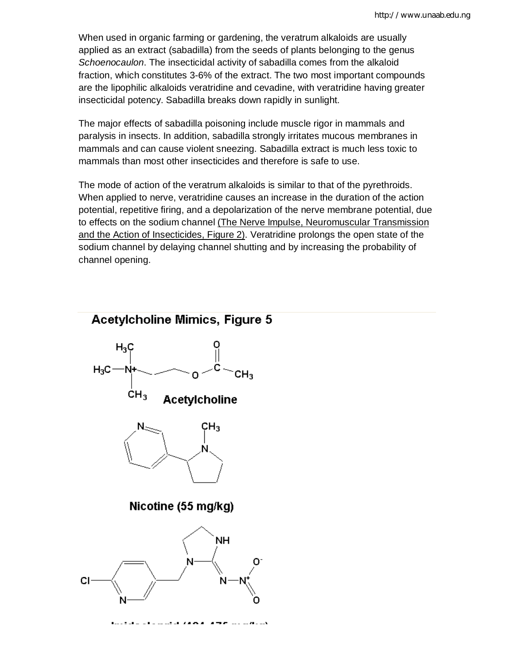When used in organic farming or gardening, the veratrum alkaloids are usually applied as an extract (sabadilla) from the seeds of plants belonging to the genus *Schoenocaulon*. The insecticidal activity of sabadilla comes from the alkaloid fraction, which constitutes 3-6% of the extract. The two most important compounds are the lipophilic alkaloids veratridine and cevadine, with veratridine having greater insecticidal potency. Sabadilla breaks down rapidly in sunlight.

The major effects of sabadilla poisoning include muscle rigor in mammals and paralysis in insects. In addition, sabadilla strongly irritates mucous membranes in mammals and can cause violent sneezing. Sabadilla extract is much less toxic to mammals than most other insecticides and therefore is safe to use.

The mode of action of the veratrum alkaloids is similar to that of the pyrethroids. When applied to nerve, veratridine causes an increase in the duration of the action potential, repetitive firing, and a depolarization of the nerve membrane potential, due to effects on the sodium channel (The Nerve Impulse, Neuromuscular Transmission and the Action of Insecticides, Figure 2). Veratridine prolongs the open state of the sodium channel by delaying channel shutting and by increasing the probability of channel opening.

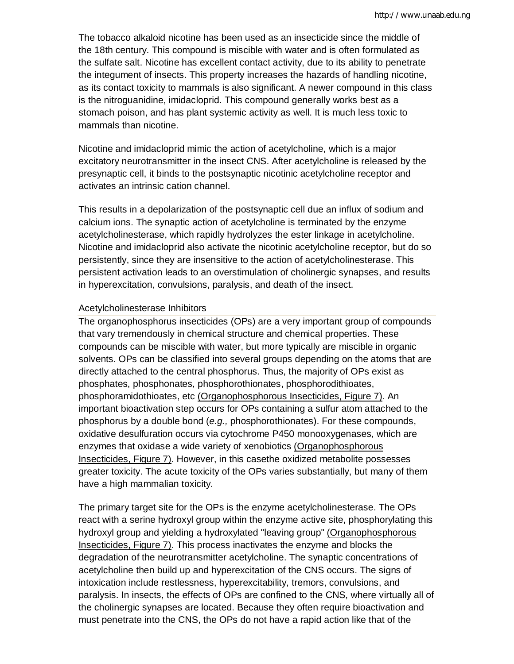The tobacco alkaloid nicotine has been used as an insecticide since the middle of the 18th century. This compound is miscible with water and is often formulated as the sulfate salt. Nicotine has excellent contact activity, due to its ability to penetrate the integument of insects. This property increases the hazards of handling nicotine, as its contact toxicity to mammals is also significant. A newer compound in this class is the nitroguanidine, imidacloprid. This compound generally works best as a stomach poison, and has plant systemic activity as well. It is much less toxic to mammals than nicotine.

Nicotine and imidacloprid mimic the action of acetylcholine, which is a major excitatory neurotransmitter in the insect CNS. After acetylcholine is released by the presynaptic cell, it binds to the postsynaptic nicotinic acetylcholine receptor and activates an intrinsic cation channel.

This results in a depolarization of the postsynaptic cell due an influx of sodium and calcium ions. The synaptic action of acetylcholine is terminated by the enzyme acetylcholinesterase, which rapidly hydrolyzes the ester linkage in acetylcholine. Nicotine and imidacloprid also activate the nicotinic acetylcholine receptor, but do so persistently, since they are insensitive to the action of acetylcholinesterase. This persistent activation leads to an overstimulation of cholinergic synapses, and results in hyperexcitation, convulsions, paralysis, and death of the insect.

#### Acetylcholinesterase Inhibitors

The organophosphorus insecticides (OPs) are a very important group of compounds that vary tremendously in chemical structure and chemical properties. These compounds can be miscible with water, but more typically are miscible in organic solvents. OPs can be classified into several groups depending on the atoms that are directly attached to the central phosphorus. Thus, the majority of OPs exist as phosphates, phosphonates, phosphorothionates, phosphorodithioates, phosphoramidothioates, etc (Organophosphorous Insecticides, Figure 7). An important bioactivation step occurs for OPs containing a sulfur atom attached to the phosphorus by a double bond (*e.g.,* phosphorothionates). For these compounds, oxidative desulfuration occurs via cytochrome P450 monooxygenases, which are enzymes that oxidase a wide variety of xenobiotics (Organophosphorous Insecticides, Figure 7). However, in this casethe oxidized metabolite possesses greater toxicity. The acute toxicity of the OPs varies substantially, but many of them have a high mammalian toxicity.

The primary target site for the OPs is the enzyme acetylcholinesterase. The OPs react with a serine hydroxyl group within the enzyme active site, phosphorylating this hydroxyl group and yielding a hydroxylated "leaving group" (Organophosphorous Insecticides, Figure 7). This process inactivates the enzyme and blocks the degradation of the neurotransmitter acetylcholine. The synaptic concentrations of acetylcholine then build up and hyperexcitation of the CNS occurs. The signs of intoxication include restlessness, hyperexcitability, tremors, convulsions, and paralysis. In insects, the effects of OPs are confined to the CNS, where virtually all of the cholinergic synapses are located. Because they often require bioactivation and must penetrate into the CNS, the OPs do not have a rapid action like that of the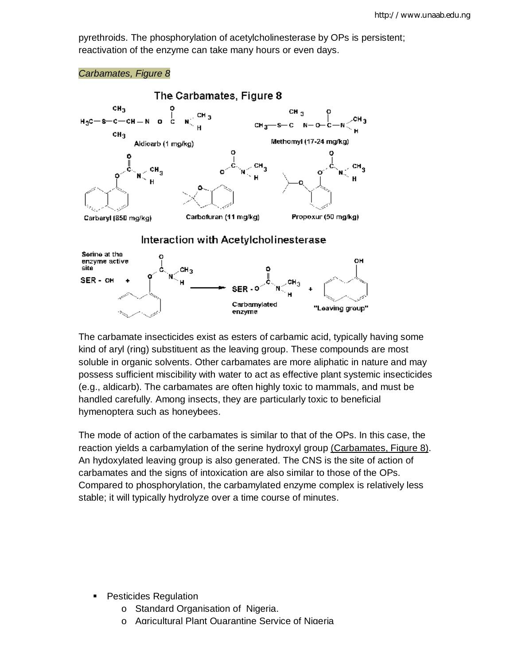pyrethroids. The phosphorylation of acetylcholinesterase by OPs is persistent; reactivation of the enzyme can take many hours or even days.



*Carbamates, Figure 8*

The carbamate insecticides exist as esters of carbamic acid, typically having some kind of aryl (ring) substituent as the leaving group. These compounds are most soluble in organic solvents. Other carbamates are more aliphatic in nature and may possess sufficient miscibility with water to act as effective plant systemic insecticides (e.g., aldicarb). The carbamates are often highly toxic to mammals, and must be handled carefully. Among insects, they are particularly toxic to beneficial hymenoptera such as honeybees.

The mode of action of the carbamates is similar to that of the OPs. In this case, the reaction yields a carbamylation of the serine hydroxyl group (Carbamates, Figure 8). An hydoxylated leaving group is also generated. The CNS is the site of action of carbamates and the signs of intoxication are also similar to those of the OPs. Compared to phosphorylation, the carbamylated enzyme complex is relatively less stable; it will typically hydrolyze over a time course of minutes.

- **Pesticides Regulation** 
	- o Standard Organisation of Nigeria.
	- o Agricultural Plant Quarantine Service of Nigeria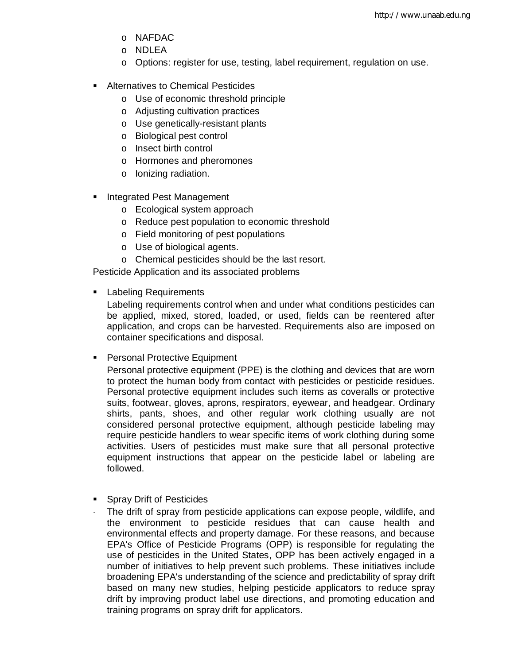- o NAFDAC
- o NDLEA
- o Options: register for use, testing, label requirement, regulation on use.
- **EXECUTE:** Alternatives to Chemical Pesticides
	- o Use of economic threshold principle
	- o Adjusting cultivation practices
	- o Use genetically-resistant plants
	- o Biological pest control
	- o Insect birth control
	- o Hormones and pheromones
	- o Ionizing radiation.
- **Integrated Pest Management** 
	- o Ecological system approach
	- o Reduce pest population to economic threshold
	- o Field monitoring of pest populations
	- o Use of biological agents.
	- o Chemical pesticides should be the last resort.

Pesticide Application and its associated problems

**Labeling Requirements** 

Labeling requirements control when and under what conditions pesticides can be applied, mixed, stored, loaded, or used, fields can be reentered after application, and crops can be harvested. Requirements also are imposed on container specifications and disposal.

**Personal Protective Equipment** 

Personal protective equipment (PPE) is the clothing and devices that are worn to protect the human body from contact with pesticides or pesticide residues. Personal protective equipment includes such items as coveralls or protective suits, footwear, gloves, aprons, respirators, eyewear, and headgear. Ordinary shirts, pants, shoes, and other regular work clothing usually are not considered personal protective equipment, although pesticide labeling may require pesticide handlers to wear specific items of work clothing during some activities. Users of pesticides must make sure that all personal protective equipment instructions that appear on the pesticide label or labeling are followed.

- **Spray Drift of Pesticides**
- The drift of spray from pesticide applications can expose people, wildlife, and the environment to pesticide residues that can cause health and environmental effects and property damage. For these reasons, and because EPA's Office of Pesticide Programs (OPP) is responsible for regulating the use of pesticides in the United States, OPP has been actively engaged in a number of initiatives to help prevent such problems. These initiatives include broadening EPA's understanding of the science and predictability of spray drift based on many new studies, helping pesticide applicators to reduce spray drift by improving product label use directions, and promoting education and training programs on spray drift for applicators.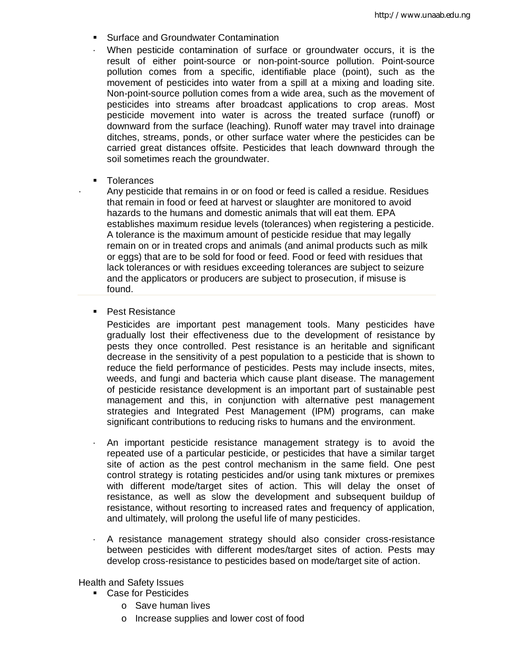- Surface and Groundwater Contamination
- When pesticide contamination of surface or groundwater occurs, it is the result of either point-source or non-point-source pollution. Point-source pollution comes from a specific, identifiable place (point), such as the movement of pesticides into water from a spill at a mixing and loading site. Non-point-source pollution comes from a wide area, such as the movement of pesticides into streams after broadcast applications to crop areas. Most pesticide movement into water is across the treated surface (runoff) or downward from the surface (leaching). Runoff water may travel into drainage ditches, streams, ponds, or other surface water where the pesticides can be carried great distances offsite. Pesticides that leach downward through the soil sometimes reach the groundwater.
- **Tolerances**

· Any pesticide that remains in or on food or feed is called a residue. Residues that remain in food or feed at harvest or slaughter are monitored to avoid hazards to the humans and domestic animals that will eat them. EPA establishes maximum residue levels (tolerances) when registering a pesticide. A tolerance is the maximum amount of pesticide residue that may legally remain on or in treated crops and animals (and animal products such as milk or eggs) that are to be sold for food or feed. Food or feed with residues that lack tolerances or with residues exceeding tolerances are subject to seizure and the applicators or producers are subject to prosecution, if misuse is found.

• Pest Resistance

Pesticides are important pest management tools. Many pesticides have gradually lost their effectiveness due to the development of resistance by pests they once controlled. Pest resistance is an heritable and significant decrease in the sensitivity of a pest population to a pesticide that is shown to reduce the field performance of pesticides. Pests may include insects, mites, weeds, and fungi and bacteria which cause plant disease. The management of pesticide resistance development is an important part of sustainable pest management and this, in conjunction with alternative pest management strategies and Integrated Pest Management (IPM) programs, can make significant contributions to reducing risks to humans and the environment.

- · An important pesticide resistance management strategy is to avoid the repeated use of a particular pesticide, or pesticides that have a similar target site of action as the pest control mechanism in the same field. One pest control strategy is rotating pesticides and/or using tank mixtures or premixes with different mode/target sites of action. This will delay the onset of resistance, as well as slow the development and subsequent buildup of resistance, without resorting to increased rates and frequency of application, and ultimately, will prolong the useful life of many pesticides.
- · A resistance management strategy should also consider cross-resistance between pesticides with different modes/target sites of action. Pests may develop cross-resistance to pesticides based on mode/target site of action.

Health and Safety Issues

- Case for Pesticides
	- o Save human lives
	- o Increase supplies and lower cost of food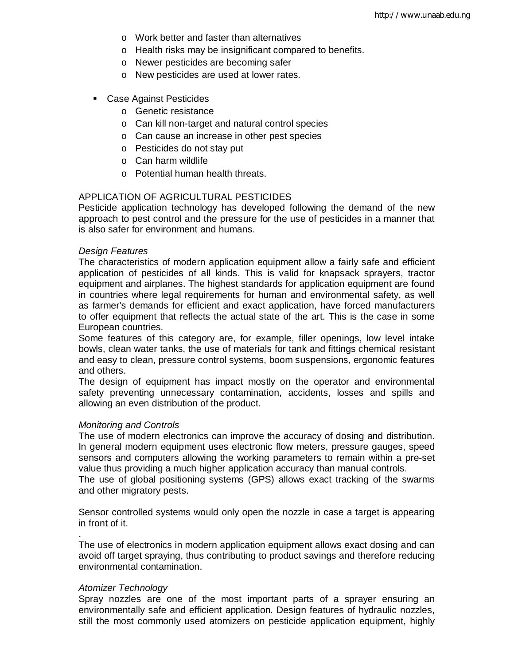- o Work better and faster than alternatives
- o Health risks may be insignificant compared to benefits.
- o Newer pesticides are becoming safer
- o New pesticides are used at lower rates.
- Case Against Pesticides
	- o Genetic resistance
	- o Can kill non-target and natural control species
	- o Can cause an increase in other pest species
	- o Pesticides do not stay put
	- o Can harm wildlife
	- o Potential human health threats.

# APPLICATION OF AGRICULTURAL PESTICIDES

Pesticide application technology has developed following the demand of the new approach to pest control and the pressure for the use of pesticides in a manner that is also safer for environment and humans.

#### *Design Features*

The characteristics of modern application equipment allow a fairly safe and efficient application of pesticides of all kinds. This is valid for knapsack sprayers, tractor equipment and airplanes. The highest standards for application equipment are found in countries where legal requirements for human and environmental safety, as well as farmer's demands for efficient and exact application, have forced manufacturers to offer equipment that reflects the actual state of the art. This is the case in some European countries.

Some features of this category are, for example, filler openings, low level intake bowls, clean water tanks, the use of materials for tank and fittings chemical resistant and easy to clean, pressure control systems, boom suspensions, ergonomic features and others.

The design of equipment has impact mostly on the operator and environmental safety preventing unnecessary contamination, accidents, losses and spills and allowing an even distribution of the product.

# *Monitoring and Controls*

The use of modern electronics can improve the accuracy of dosing and distribution. In general modern equipment uses electronic flow meters, pressure gauges, speed sensors and computers allowing the working parameters to remain within a pre-set value thus providing a much higher application accuracy than manual controls.

The use of global positioning systems (GPS) allows exact tracking of the swarms and other migratory pests.

Sensor controlled systems would only open the nozzle in case a target is appearing in front of it.

.

The use of electronics in modern application equipment allows exact dosing and can avoid off target spraying, thus contributing to product savings and therefore reducing environmental contamination.

#### *Atomizer Technology*

Spray nozzles are one of the most important parts of a sprayer ensuring an environmentally safe and efficient application. Design features of hydraulic nozzles, still the most commonly used atomizers on pesticide application equipment, highly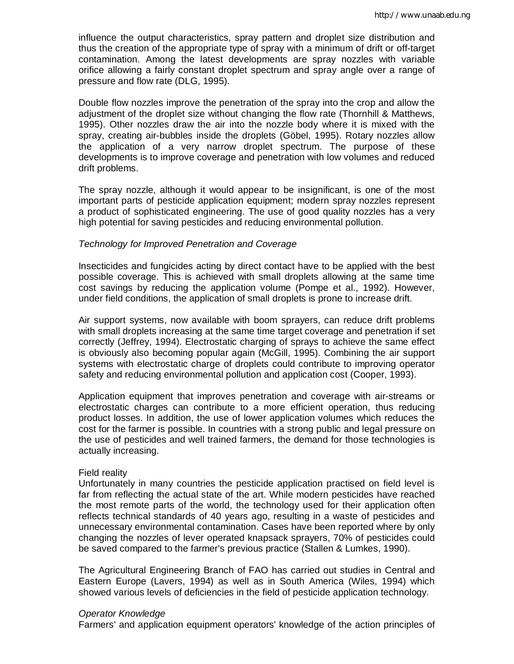influence the output characteristics, spray pattern and droplet size distribution and thus the creation of the appropriate type of spray with a minimum of drift or off-target contamination. Among the latest developments are spray nozzles with variable orifice allowing a fairly constant droplet spectrum and spray angle over a range of pressure and flow rate (DLG, 1995).

Double flow nozzles improve the penetration of the spray into the crop and allow the adjustment of the droplet size without changing the flow rate (Thornhill & Matthews, 1995). Other nozzles draw the air into the nozzle body where it is mixed with the spray, creating air-bubbles inside the droplets (Göbel, 1995). Rotary nozzles allow the application of a very narrow droplet spectrum. The purpose of these developments is to improve coverage and penetration with low volumes and reduced drift problems.

The spray nozzle, although it would appear to be insignificant, is one of the most important parts of pesticide application equipment; modern spray nozzles represent a product of sophisticated engineering. The use of good quality nozzles has a very high potential for saving pesticides and reducing environmental pollution.

# *Technology for Improved Penetration and Coverage*

Insecticides and fungicides acting by direct contact have to be applied with the best possible coverage. This is achieved with small droplets allowing at the same time cost savings by reducing the application volume (Pompe et al., 1992). However, under field conditions, the application of small droplets is prone to increase drift.

Air support systems, now available with boom sprayers, can reduce drift problems with small droplets increasing at the same time target coverage and penetration if set correctly (Jeffrey, 1994). Electrostatic charging of sprays to achieve the same effect is obviously also becoming popular again (McGill, 1995). Combining the air support systems with electrostatic charge of droplets could contribute to improving operator safety and reducing environmental pollution and application cost (Cooper, 1993).

Application equipment that improves penetration and coverage with air-streams or electrostatic charges can contribute to a more efficient operation, thus reducing product losses. In addition, the use of lower application volumes which reduces the cost for the farmer is possible. In countries with a strong public and legal pressure on the use of pesticides and well trained farmers, the demand for those technologies is actually increasing.

#### Field reality

Unfortunately in many countries the pesticide application practised on field level is far from reflecting the actual state of the art. While modern pesticides have reached the most remote parts of the world, the technology used for their application often reflects technical standards of 40 years ago, resulting in a waste of pesticides and unnecessary environmental contamination. Cases have been reported where by only changing the nozzles of lever operated knapsack sprayers, 70% of pesticides could be saved compared to the farmer's previous practice (Stallen & Lumkes, 1990).

The Agricultural Engineering Branch of FAO has carried out studies in Central and Eastern Europe (Lavers, 1994) as well as in South America (Wiles, 1994) which showed various levels of deficiencies in the field of pesticide application technology.

#### *Operator Knowledge*

Farmers' and application equipment operators' knowledge of the action principles of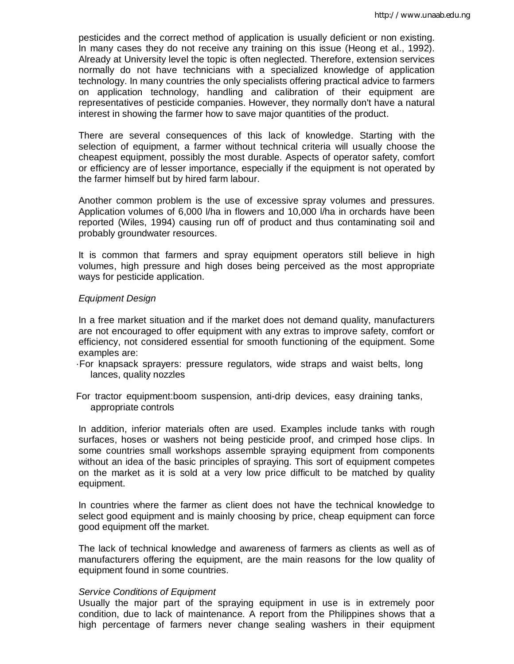pesticides and the correct method of application is usually deficient or non existing. In many cases they do not receive any training on this issue (Heong et al., 1992). Already at University level the topic is often neglected. Therefore, extension services normally do not have technicians with a specialized knowledge of application technology. In many countries the only specialists offering practical advice to farmers on application technology, handling and calibration of their equipment are representatives of pesticide companies. However, they normally don't have a natural interest in showing the farmer how to save major quantities of the product.

There are several consequences of this lack of knowledge. Starting with the selection of equipment, a farmer without technical criteria will usually choose the cheapest equipment, possibly the most durable. Aspects of operator safety, comfort or efficiency are of lesser importance, especially if the equipment is not operated by the farmer himself but by hired farm labour.

Another common problem is the use of excessive spray volumes and pressures. Application volumes of 6,000 l/ha in flowers and 10,000 l/ha in orchards have been reported (Wiles, 1994) causing run off of product and thus contaminating soil and probably groundwater resources.

It is common that farmers and spray equipment operators still believe in high volumes, high pressure and high doses being perceived as the most appropriate ways for pesticide application.

# *Equipment Design*

In a free market situation and if the market does not demand quality, manufacturers are not encouraged to offer equipment with any extras to improve safety, comfort or efficiency, not considered essential for smooth functioning of the equipment. Some examples are:

- ·For knapsack sprayers: pressure regulators, wide straps and waist belts, long lances, quality nozzles
- For tractor equipment:boom suspension, anti-drip devices, easy draining tanks, appropriate controls

In addition, inferior materials often are used. Examples include tanks with rough surfaces, hoses or washers not being pesticide proof, and crimped hose clips. In some countries small workshops assemble spraying equipment from components without an idea of the basic principles of spraying. This sort of equipment competes on the market as it is sold at a very low price difficult to be matched by quality equipment.

In countries where the farmer as client does not have the technical knowledge to select good equipment and is mainly choosing by price, cheap equipment can force good equipment off the market.

The lack of technical knowledge and awareness of farmers as clients as well as of manufacturers offering the equipment, are the main reasons for the low quality of equipment found in some countries.

# *Service Conditions of Equipment*

Usually the major part of the spraying equipment in use is in extremely poor condition, due to lack of maintenance. A report from the Philippines shows that a high percentage of farmers never change sealing washers in their equipment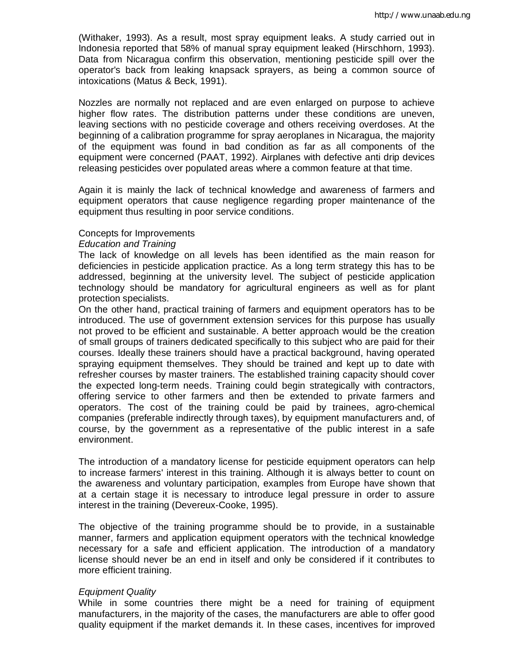(Withaker, 1993). As a result, most spray equipment leaks. A study carried out in Indonesia reported that 58% of manual spray equipment leaked (Hirschhorn, 1993). Data from Nicaragua confirm this observation, mentioning pesticide spill over the operator's back from leaking knapsack sprayers, as being a common source of intoxications (Matus & Beck, 1991).

Nozzles are normally not replaced and are even enlarged on purpose to achieve higher flow rates. The distribution patterns under these conditions are uneven, leaving sections with no pesticide coverage and others receiving overdoses. At the beginning of a calibration programme for spray aeroplanes in Nicaragua, the majority of the equipment was found in bad condition as far as all components of the equipment were concerned (PAAT, 1992). Airplanes with defective anti drip devices releasing pesticides over populated areas where a common feature at that time.

Again it is mainly the lack of technical knowledge and awareness of farmers and equipment operators that cause negligence regarding proper maintenance of the equipment thus resulting in poor service conditions.

# Concepts for Improvements

# *Education and Training*

The lack of knowledge on all levels has been identified as the main reason for deficiencies in pesticide application practice. As a long term strategy this has to be addressed, beginning at the university level. The subject of pesticide application technology should be mandatory for agricultural engineers as well as for plant protection specialists.

On the other hand, practical training of farmers and equipment operators has to be introduced. The use of government extension services for this purpose has usually not proved to be efficient and sustainable. A better approach would be the creation of small groups of trainers dedicated specifically to this subject who are paid for their courses. Ideally these trainers should have a practical background, having operated spraying equipment themselves. They should be trained and kept up to date with refresher courses by master trainers. The established training capacity should cover the expected long-term needs. Training could begin strategically with contractors, offering service to other farmers and then be extended to private farmers and operators. The cost of the training could be paid by trainees, agro-chemical companies (preferable indirectly through taxes), by equipment manufacturers and, of course, by the government as a representative of the public interest in a safe environment.

The introduction of a mandatory license for pesticide equipment operators can help to increase farmers' interest in this training. Although it is always better to count on the awareness and voluntary participation, examples from Europe have shown that at a certain stage it is necessary to introduce legal pressure in order to assure interest in the training (Devereux-Cooke, 1995).

The objective of the training programme should be to provide, in a sustainable manner, farmers and application equipment operators with the technical knowledge necessary for a safe and efficient application. The introduction of a mandatory license should never be an end in itself and only be considered if it contributes to more efficient training.

# *Equipment Quality*

While in some countries there might be a need for training of equipment manufacturers, in the majority of the cases, the manufacturers are able to offer good quality equipment if the market demands it. In these cases, incentives for improved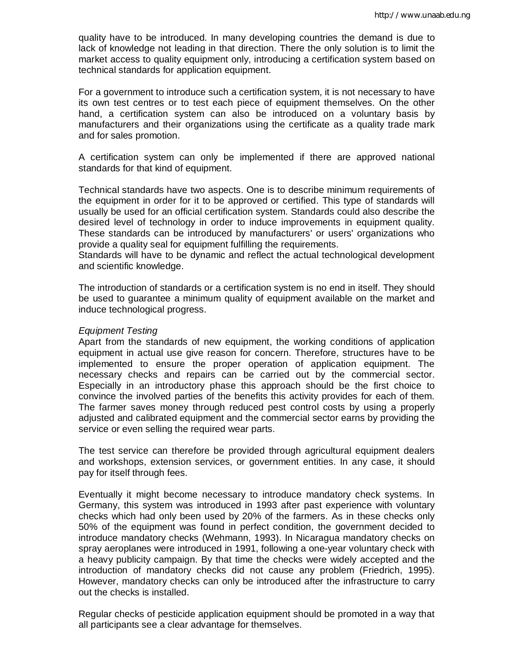quality have to be introduced. In many developing countries the demand is due to lack of knowledge not leading in that direction. There the only solution is to limit the market access to quality equipment only, introducing a certification system based on technical standards for application equipment.

For a government to introduce such a certification system, it is not necessary to have its own test centres or to test each piece of equipment themselves. On the other hand, a certification system can also be introduced on a voluntary basis by manufacturers and their organizations using the certificate as a quality trade mark and for sales promotion.

A certification system can only be implemented if there are approved national standards for that kind of equipment.

Technical standards have two aspects. One is to describe minimum requirements of the equipment in order for it to be approved or certified. This type of standards will usually be used for an official certification system. Standards could also describe the desired level of technology in order to induce improvements in equipment quality. These standards can be introduced by manufacturers' or users' organizations who provide a quality seal for equipment fulfilling the requirements.

Standards will have to be dynamic and reflect the actual technological development and scientific knowledge.

The introduction of standards or a certification system is no end in itself. They should be used to guarantee a minimum quality of equipment available on the market and induce technological progress.

#### *Equipment Testing*

Apart from the standards of new equipment, the working conditions of application equipment in actual use give reason for concern. Therefore, structures have to be implemented to ensure the proper operation of application equipment. The necessary checks and repairs can be carried out by the commercial sector. Especially in an introductory phase this approach should be the first choice to convince the involved parties of the benefits this activity provides for each of them. The farmer saves money through reduced pest control costs by using a properly adjusted and calibrated equipment and the commercial sector earns by providing the service or even selling the required wear parts.

The test service can therefore be provided through agricultural equipment dealers and workshops, extension services, or government entities. In any case, it should pay for itself through fees.

Eventually it might become necessary to introduce mandatory check systems. In Germany, this system was introduced in 1993 after past experience with voluntary checks which had only been used by 20% of the farmers. As in these checks only 50% of the equipment was found in perfect condition, the government decided to introduce mandatory checks (Wehmann, 1993). In Nicaragua mandatory checks on spray aeroplanes were introduced in 1991, following a one-year voluntary check with a heavy publicity campaign. By that time the checks were widely accepted and the introduction of mandatory checks did not cause any problem (Friedrich, 1995). However, mandatory checks can only be introduced after the infrastructure to carry out the checks is installed.

Regular checks of pesticide application equipment should be promoted in a way that all participants see a clear advantage for themselves.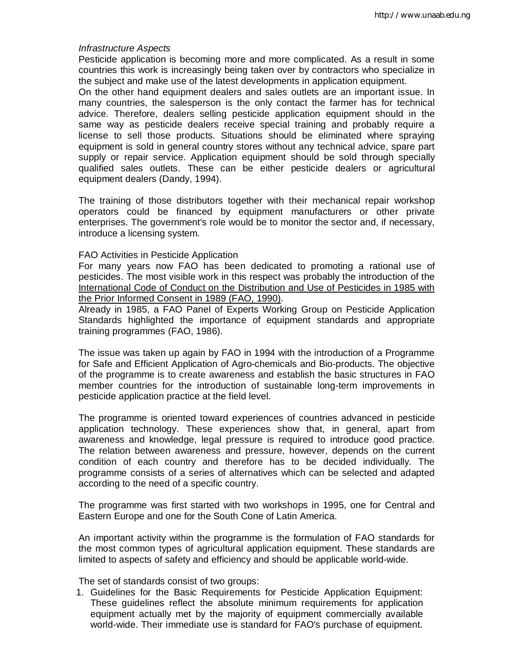#### *Infrastructure Aspects*

Pesticide application is becoming more and more complicated. As a result in some countries this work is increasingly being taken over by contractors who specialize in the subject and make use of the latest developments in application equipment.

On the other hand equipment dealers and sales outlets are an important issue. In many countries, the salesperson is the only contact the farmer has for technical advice. Therefore, dealers selling pesticide application equipment should in the same way as pesticide dealers receive special training and probably require a license to sell those products. Situations should be eliminated where spraying equipment is sold in general country stores without any technical advice, spare part supply or repair service. Application equipment should be sold through specially qualified sales outlets. These can be either pesticide dealers or agricultural equipment dealers (Dandy, 1994).

The training of those distributors together with their mechanical repair workshop operators could be financed by equipment manufacturers or other private enterprises. The government's role would be to monitor the sector and, if necessary, introduce a licensing system.

#### FAO Activities in Pesticide Application

For many years now FAO has been dedicated to promoting a rational use of pesticides. The most visible work in this respect was probably the introduction of the International Code of Conduct on the Distribution and Use of Pesticides in 1985 with the Prior Informed Consent in 1989 (FAO, 1990).

Already in 1985, a FAO Panel of Experts Working Group on Pesticide Application Standards highlighted the importance of equipment standards and appropriate training programmes (FAO, 1986).

The issue was taken up again by FAO in 1994 with the introduction of a Programme for Safe and Efficient Application of Agro-chemicals and Bio-products. The objective of the programme is to create awareness and establish the basic structures in FAO member countries for the introduction of sustainable long-term improvements in pesticide application practice at the field level.

The programme is oriented toward experiences of countries advanced in pesticide application technology. These experiences show that, in general, apart from awareness and knowledge, legal pressure is required to introduce good practice. The relation between awareness and pressure, however, depends on the current condition of each country and therefore has to be decided individually. The programme consists of a series of alternatives which can be selected and adapted according to the need of a specific country.

The programme was first started with two workshops in 1995, one for Central and Eastern Europe and one for the South Cone of Latin America.

An important activity within the programme is the formulation of FAO standards for the most common types of agricultural application equipment. These standards are limited to aspects of safety and efficiency and should be applicable world-wide.

The set of standards consist of two groups:

1. Guidelines for the Basic Requirements for Pesticide Application Equipment: These guidelines reflect the absolute minimum requirements for application equipment actually met by the majority of equipment commercially available world-wide. Their immediate use is standard for FAO's purchase of equipment.